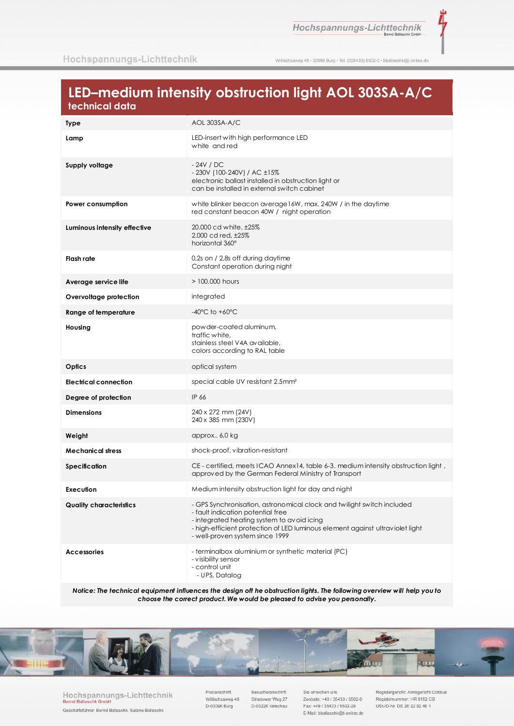Hochspannungs-Lichttechnik

Ĩ

Willischzaweg 48 · 03096 Burg · Tel. (035433) 5502-0 · bballaschk@t-online.de

# LED-medium intensity obstruction light AOL 303SA-A/C technical data

| <b>Type</b>                    | AOL 303SA-A/C                                                                                                                                                                                                                                                                 |
|--------------------------------|-------------------------------------------------------------------------------------------------------------------------------------------------------------------------------------------------------------------------------------------------------------------------------|
| Lamp                           | LED-insert with high performance LED<br>white and red                                                                                                                                                                                                                         |
| Supply voltage                 | $-24V / DC$<br>- 230V (100-240V) / AC ±15%<br>electronic ballast installed in obstruction light or<br>can be installed in external switch cabinet                                                                                                                             |
| Power consumption              | white blinker beacon average 16W, max. 240W / in the daytime<br>red constant beacon 40W / night operation                                                                                                                                                                     |
| Luminous intensity effective   | 20.000 cd white, ±25%<br>2.000 cd red, ±25%<br>horizontal 360°                                                                                                                                                                                                                |
| Flash rate                     | 0,2s on / 2,8s off during daytime<br>Constant operation during night                                                                                                                                                                                                          |
| Average service life           | > 100,000 hours                                                                                                                                                                                                                                                               |
| Overvoltage protection         | integrated                                                                                                                                                                                                                                                                    |
| <b>Range of temperature</b>    | $-40^{\circ}$ C to $+60^{\circ}$ C                                                                                                                                                                                                                                            |
| Housing                        | powder-coated aluminum,<br>traffic white,<br>stainless steel V4A available,<br>colors according to RAL table                                                                                                                                                                  |
| Optics                         | optical system                                                                                                                                                                                                                                                                |
| <b>Electrical connection</b>   | special cable UV resistant 2.5mm <sup>2</sup>                                                                                                                                                                                                                                 |
| Degree of protection           | IP 66                                                                                                                                                                                                                                                                         |
| <b>Dimensions</b>              | 240 x 272 mm (24V)<br>240 x 385 mm (230V)                                                                                                                                                                                                                                     |
| Weight                         | approx 6,0 kg                                                                                                                                                                                                                                                                 |
| <b>Mechanical stress</b>       | shock-proof, vibration-resistant                                                                                                                                                                                                                                              |
| Specification                  | CE - certified, meets ICAO Annex14, table 6-3. medium intensity obstruction light,<br>approved by the German Federal Ministry of Transport                                                                                                                                    |
| Execution                      | Medium intensity obstruction light for day and night                                                                                                                                                                                                                          |
| <b>Quality characteristics</b> | - GPS Synchronisation, astronomical clock and twilight switch included<br>- fault indication potential free<br>- integrated heating system to avoid icing<br>- high-efficient protection of LED luminous element against ultraviolet light<br>- well-proven system since 1999 |
| <b>Accessories</b>             | - terminalbox aluminium or synthetic material (PC)<br>- visibility sensor<br>- control unit<br>- UPS, Datalog                                                                                                                                                                 |

Notice: The technical equipment influences the design off he obstruction lights. The following overview will help you to choose the correct product. We would be pleased to advise you personally.



Hochspannungs-Lichttechnik **Bernd Balla**  $chk$   $G$ Geschäftsführer: Bernd Ballaschk, Sabine Ballaschk

Postanschrift Willischzaweg 48 D-03096 Burg

Besucheranschrift Stradower Weg 27 D-03226 Vetschau

Sie erreichen uns Zentrale: +49 / 35433 / 5502-0 Fax: +49 / 35433 / 5502-29 E-Mail: bballaschk@t-online.de Registergericht: Amtsgericht Cottbus Registernummer: HR 8152 CB USt-ID-Nr. DE 26 22 82 46 1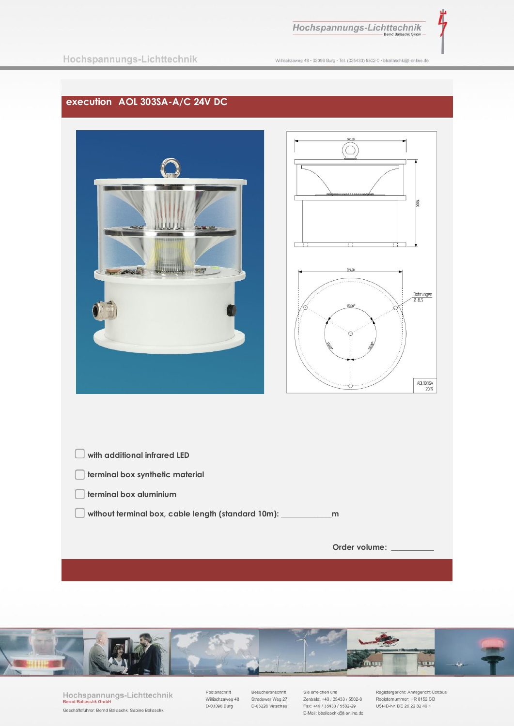

Willischzaweg 48 · 03096 Burg · Tel. (035433) 5502-0 · bballaschk@t-online.de

## execution AOL 303SA-A/C 24V DC





Hochspannungs-Lichttechnik **Bernd Balla**  $chk$   $G$ Geschäftsführer: Bernd Ballaschk, Sabine Ballaschk

Postanschrift Willischzaweg 48 D-03096 Burg

Besucheranschrift Stradower Weg 27 D-03226 Vetschau

Sie erreichen uns Zentrale: +49 / 35433 / 5502-0 Fax: +49 / 35433 / 5502-29 E-Mail: bballaschk@t-online.de

Registergericht: Amtsgericht Cottbus Registernummer: HR 8152 CB<br>USt-ID-Nr. DE 26 22 82 46 1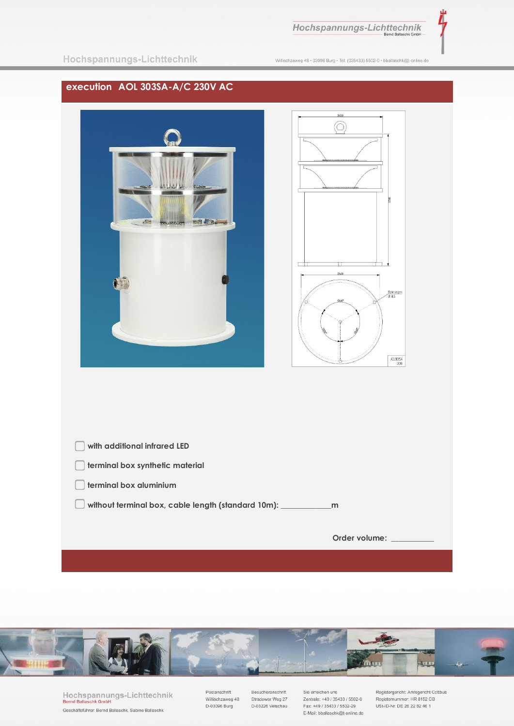





Hochspannungs-Lichttechnik **Bernd Balla** chk Gmbl Geschäftsführer: Bernd Ballaschk, Sabine Ballaschk

Postanschrift Willischzaweg 48 D-03096 Burg

Besucheranschrift Stradower Weg 27 D-03226 Vetschau

Sie erreichen uns Zentrale: +49 / 35433 / 5502-0 Fax: +49 / 35433 / 5502-29 E-Mail: bballaschk@t-online.de Registergericht: Amtsgericht Cottbus Registernummer: HR 8152 CB USt-ID-Nr. DE 26 22 82 46 1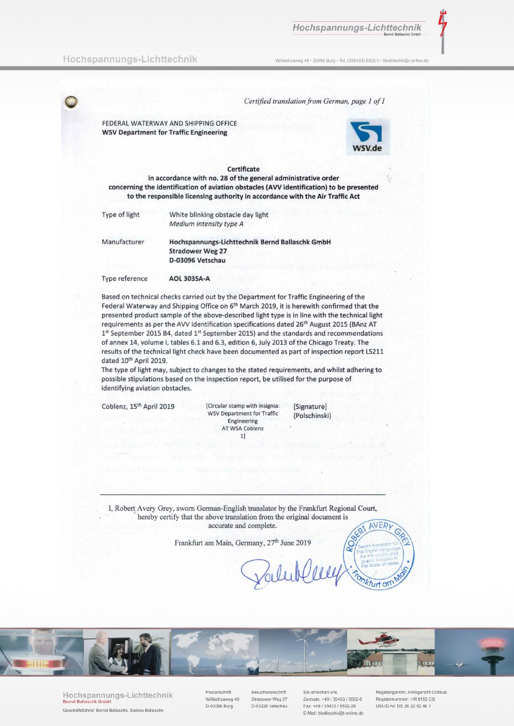#### Hochspannungs-Lichttechnik

Willischzaweg 48 · 03096 Burg · Tel. (035433) 5502-0 · bballaschk@t-online.de

Certified translation from German, page 1 of 1

FEDERAL WATERWAY AND SHIPPING OFFICE **WSV Department for Traffic Engineering** 



#### Certificate

in accordance with no. 28 of the general administrative order concerning the identification of aviation obstacles (AVV identification) to be presented to the responsible licensing authority in accordance with the Air Traffic Act

| ype of light | White blinking obstacle day light |
|--------------|-----------------------------------|
|              | Medium intensity type A           |

Manufacturer

T

Hochspannungs-Lichttechnik Bernd Ballaschk GmbH **Stradower Weg 27** D-03096 Vetschau

Type reference **AOL 303SA-A** 

Based on technical checks carried out by the Department for Traffic Engineering of the Federal Waterway and Shipping Office on 6<sup>th</sup> March 2019, it is herewith confirmed that the presented product sample of the above-described light type is in line with the technical light requirements as per the AVV identification specifications dated 26<sup>th</sup> August 2015 (BAnz AT 1st September 2015 B4, dated 1st September 2015) and the standards and recommendations of annex 14, volume I, tables 6.1 and 6.3, edition 6, July 2013 of the Chicago Treaty. The results of the technical light check have been documented as part of inspection report LS211 dated 10<sup>th</sup> April 2019.

The type of light may, subject to changes to the stated requirements, and whilst adhering to possible stipulations based on the inspection report, be utilised for the purpose of identifying aviation obstacles.

Coblenz, 15<sup>th</sup> April 2019

[Circular stamp with insignia: **WSV Department for Traffic** Engineering AT WSA Coblenz  $1]$ 

[Signature] (Polschinski)

I, Robert Avery Grey, sworn German-English translator by the Frankfurt Regional Court, hereby certify that the above translation from the original document is accurate and complete. AVERI

Frankfurt am Main, Germany, 27<sup>th</sup> June 2019



Hochspannungs-Lichttechnik Geschäftsführer: Bernd Ballaschk, Sabine Ballaschk

Postanschrift Willischzaweg 48 D-03096 Burg

Besucheranschrift Stradower Weg 27 D-03226 Vetschau

Sie erreichen uns Zentrale: +49 / 35433 / 5502-0 Fax: +49 / 35433 / 5502-29 E-Mail: bballaschk@t-online.de

Registergericht: Amtsgericht Cottbus Registernummer: HR 8152 CB USt-ID-Nr. DF 26 22 82 46 1

furt an